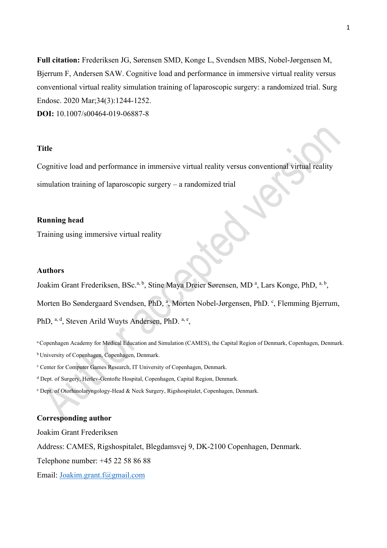**Full citation:** Frederiksen JG, Sørensen SMD, Konge L, Svendsen MBS, Nobel-Jørgensen M, Bjerrum F, Andersen SAW. Cognitive load and performance in immersive virtual reality versus conventional virtual reality simulation training of laparoscopic surgery: a randomized trial. Surg Endosc. 2020 Mar;34(3):1244-1252.

**DOI:** 10.1007/s00464-019-06887-8

## **Title**

Cognitive load and performance in immersive virtual reality versus conventional virtual reality simulation training of laparoscopic surgery – a randomized trial

## **Running head**

Training using immersive virtual reality

#### **Authors**

Joakim Grant Frederiksen, BSc.<sup>a, b</sup>, Stine Maya Dreier Sørensen, MD<sup>a</sup>, Lars Konge, PhD, <sup>a, b</sup>, Morten Bo Søndergaard Svendsen, PhD, <sup>a</sup>, Morten Nobel-Jørgensen, PhD. <sup>c</sup>, Flemming Bjerrum, PhD, a, d, Steven Arild Wuyts Andersen, PhD, a, e,

a Copenhagen Academy for Medical Education and Simulation (CAMES), the Capital Region of Denmark, Copenhagen, Denmark. b University of Copenhagen, Copenhagen, Denmark.

<sup>c</sup> Center for Computer Games Research, IT University of Copenhagen, Denmark.

<sup>d</sup> Dept. of Surgery, Herlev-Gentofte Hospital, Copenhagen, Capital Region, Denmark.

<sup>e</sup> Dept. of Otorhinolaryngology-Head & Neck Surgery, Rigshospitalet, Copenhagen, Denmark.

### **Corresponding author**

Joakim Grant Frederiksen

Address: CAMES, Rigshospitalet, Blegdamsvej 9, DK-2100 Copenhagen, Denmark.

Telephone number: +45 22 58 86 88

Email: [Joakim.grant.f@gmail.com](mailto:Joakim.grant.f@gmail.com)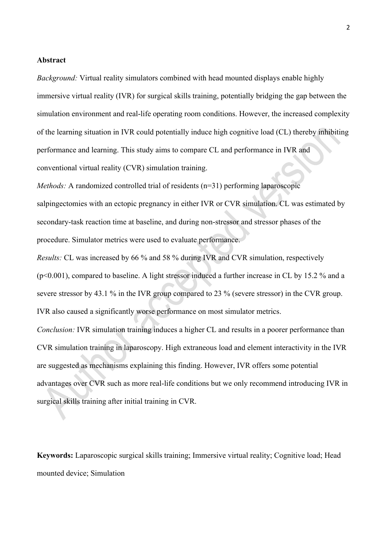### **Abstract**

*Background:* Virtual reality simulators combined with head mounted displays enable highly immersive virtual reality (IVR) for surgical skills training, potentially bridging the gap between the simulation environment and real-life operating room conditions. However, the increased complexity of the learning situation in IVR could potentially induce high cognitive load (CL) thereby inhibiting performance and learning. This study aims to compare CL and performance in IVR and conventional virtual reality (CVR) simulation training.

*Methods:* A randomized controlled trial of residents (n=31) performing laparoscopic

salpingectomies with an ectopic pregnancy in either IVR or CVR simulation. CL was estimated by secondary-task reaction time at baseline, and during non-stressor and stressor phases of the procedure. Simulator metrics were used to evaluate performance.

*Results:* CL was increased by 66 % and 58 % during IVR and CVR simulation, respectively (p<0.001), compared to baseline. A light stressor induced a further increase in CL by 15.2 % and a severe stressor by 43.1 % in the IVR group compared to 23 % (severe stressor) in the CVR group. IVR also caused a significantly worse performance on most simulator metrics.

*Conclusion:* IVR simulation training induces a higher CL and results in a poorer performance than CVR simulation training in laparoscopy. High extraneous load and element interactivity in the IVR are suggested as mechanisms explaining this finding. However, IVR offers some potential advantages over CVR such as more real-life conditions but we only recommend introducing IVR in surgical skills training after initial training in CVR.

**Keywords:** Laparoscopic surgical skills training; Immersive virtual reality; Cognitive load; Head mounted device; Simulation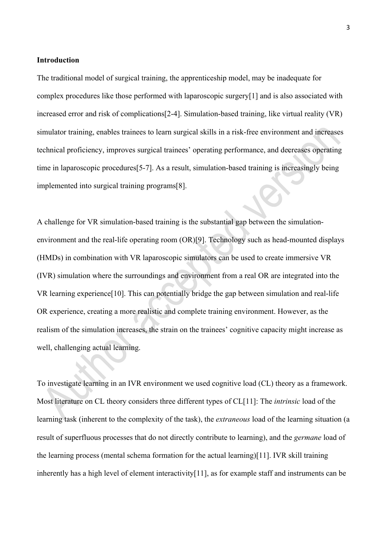### **Introduction**

The traditional model of surgical training, the apprenticeship model, may be inadequate for complex procedures like those performed with laparoscopic surgery[1] and is also associated with increased error and risk of complications[2-4]. Simulation-based training, like virtual reality (VR) simulator training, enables trainees to learn surgical skills in a risk-free environment and increases technical proficiency, improves surgical trainees' operating performance, and decreases operating time in laparoscopic procedures[5-7]. As a result, simulation-based training is increasingly being implemented into surgical training programs[8].

A challenge for VR simulation-based training is the substantial gap between the simulationenvironment and the real-life operating room (OR)[9]. Technology such as head-mounted displays (HMDs) in combination with VR laparoscopic simulators can be used to create immersive VR (IVR) simulation where the surroundings and environment from a real OR are integrated into the VR learning experience[10]. This can potentially bridge the gap between simulation and real-life OR experience, creating a more realistic and complete training environment. However, as the realism of the simulation increases, the strain on the trainees' cognitive capacity might increase as well, challenging actual learning.

To investigate learning in an IVR environment we used cognitive load (CL) theory as a framework. Most literature on CL theory considers three different types of CL[11]: The *intrinsic* load of the learning task (inherent to the complexity of the task), the *extraneous* load of the learning situation (a result of superfluous processes that do not directly contribute to learning), and the *germane* load of the learning process (mental schema formation for the actual learning)[11]. IVR skill training inherently has a high level of element interactivity[11], as for example staff and instruments can be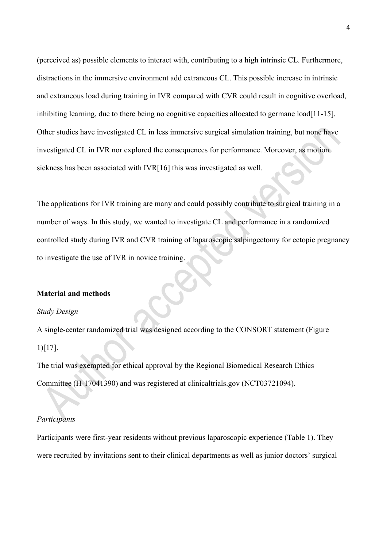(perceived as) possible elements to interact with, contributing to a high intrinsic CL. Furthermore, distractions in the immersive environment add extraneous CL. This possible increase in intrinsic and extraneous load during training in IVR compared with CVR could result in cognitive overload, inhibiting learning, due to there being no cognitive capacities allocated to germane load[11-15]. Other studies have investigated CL in less immersive surgical simulation training, but none have investigated CL in IVR nor explored the consequences for performance. Moreover, as motion sickness has been associated with IVR[16] this was investigated as well.

The applications for IVR training are many and could possibly contribute to surgical training in a number of ways. In this study, we wanted to investigate CL and performance in a randomized controlled study during IVR and CVR training of laparoscopic salpingectomy for ectopic pregnancy to investigate the use of IVR in novice training.

#### **Material and methods**

#### *Study Design*

A single-center randomized trial was designed according to the CONSORT statement (Figure 1)[17].

The trial was exempted for ethical approval by the Regional Biomedical Research Ethics Committee (H-17041390) and was registered at clinicaltrials.gov (NCT03721094).

### *Participants*

Participants were first-year residents without previous laparoscopic experience (Table 1). They were recruited by invitations sent to their clinical departments as well as junior doctors' surgical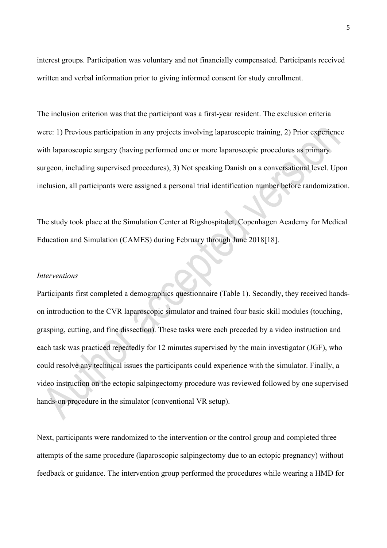interest groups. Participation was voluntary and not financially compensated. Participants received written and verbal information prior to giving informed consent for study enrollment.

The inclusion criterion was that the participant was a first-year resident. The exclusion criteria were: 1) Previous participation in any projects involving laparoscopic training, 2) Prior experience with laparoscopic surgery (having performed one or more laparoscopic procedures as primary surgeon, including supervised procedures), 3) Not speaking Danish on a conversational level. Upon inclusion, all participants were assigned a personal trial identification number before randomization.

The study took place at the Simulation Center at Rigshospitalet, Copenhagen Academy for Medical Education and Simulation (CAMES) during February through June 2018[18].

#### *Interventions*

Participants first completed a demographics questionnaire (Table 1). Secondly, they received handson introduction to the CVR laparoscopic simulator and trained four basic skill modules (touching, grasping, cutting, and fine dissection). These tasks were each preceded by a video instruction and each task was practiced repeatedly for 12 minutes supervised by the main investigator (JGF), who could resolve any technical issues the participants could experience with the simulator. Finally, a video instruction on the ectopic salpingectomy procedure was reviewed followed by one supervised hands-on procedure in the simulator (conventional VR setup).

Next, participants were randomized to the intervention or the control group and completed three attempts of the same procedure (laparoscopic salpingectomy due to an ectopic pregnancy) without feedback or guidance. The intervention group performed the procedures while wearing a HMD for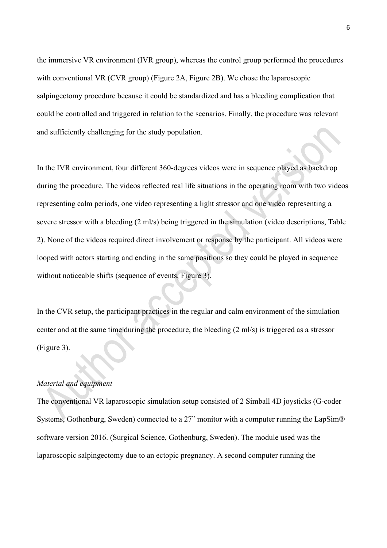the immersive VR environment (IVR group), whereas the control group performed the procedures with conventional VR (CVR group) (Figure 2A, Figure 2B). We chose the laparoscopic salpingectomy procedure because it could be standardized and has a bleeding complication that could be controlled and triggered in relation to the scenarios. Finally, the procedure was relevant and sufficiently challenging for the study population.

In the IVR environment, four different 360-degrees videos were in sequence played as backdrop during the procedure. The videos reflected real life situations in the operating room with two videos representing calm periods, one video representing a light stressor and one video representing a severe stressor with a bleeding (2 ml/s) being triggered in the simulation (video descriptions, Table 2). None of the videos required direct involvement or response by the participant. All videos were looped with actors starting and ending in the same positions so they could be played in sequence without noticeable shifts (sequence of events, Figure 3).

In the CVR setup, the participant practices in the regular and calm environment of the simulation center and at the same time during the procedure, the bleeding (2 ml/s) is triggered as a stressor (Figure 3).

## *Material and equipment*

The conventional VR laparoscopic simulation setup consisted of 2 Simball 4D joysticks (G-coder Systems, Gothenburg, Sweden) connected to a 27" monitor with a computer running the LapSim® software version 2016. (Surgical Science, Gothenburg, Sweden). The module used was the laparoscopic salpingectomy due to an ectopic pregnancy. A second computer running the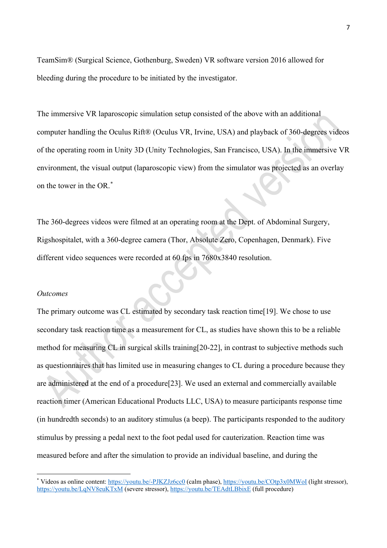TeamSim® (Surgical Science, Gothenburg, Sweden) VR software version 2016 allowed for bleeding during the procedure to be initiated by the investigator.

The immersive VR laparoscopic simulation setup consisted of the above with an additional computer handling the Oculus Rift® (Oculus VR, Irvine, USA) and playback of 360-degrees videos of the operating room in Unity 3D (Unity Technologies, San Francisco, USA). In the immersive VR environment, the visual output (laparoscopic view) from the simulator was projected as an overlay on the tower in the OR.[\\*](#page-6-0)

The 360-degrees videos were filmed at an operating room at the Dept. of Abdominal Surgery, Rigshospitalet, with a 360-degree camera (Thor, Absolute Zero, Copenhagen, Denmark). Five different video sequences were recorded at 60 fps in 7680x3840 resolution.

#### *Outcomes*

The primary outcome was CL estimated by secondary task reaction time[19]. We chose to use secondary task reaction time as a measurement for CL, as studies have shown this to be a reliable method for measuring CL in surgical skills training[20-22], in contrast to subjective methods such as questionnaires that has limited use in measuring changes to CL during a procedure because they are administered at the end of a procedure[23]. We used an external and commercially available reaction timer (American Educational Products LLC, USA) to measure participants response time (in hundredth seconds) to an auditory stimulus (a beep). The participants responded to the auditory stimulus by pressing a pedal next to the foot pedal used for cauterization. Reaction time was measured before and after the simulation to provide an individual baseline, and during the

<span id="page-6-0"></span><sup>\*</sup> Videos as online content:<https://youtu.be/-PJKZJz6cc0> (calm phase),<https://youtu.be/COtp3x0MWoI> (light stressor), <https://youtu.be/LqNV8euKTxM> (severe stressor),<https://youtu.be/TEAdtLBbixE> (full procedure)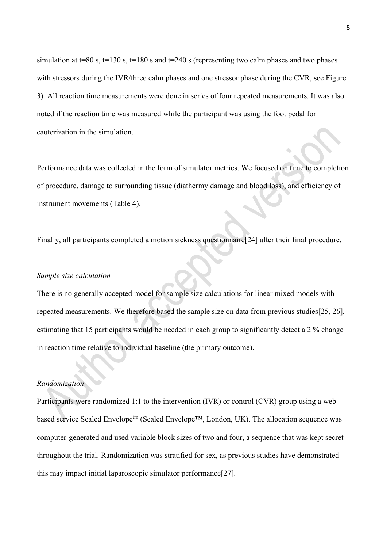simulation at t=80 s, t=130 s, t=180 s and t=240 s (representing two calm phases and two phases with stressors during the IVR/three calm phases and one stressor phase during the CVR, see Figure 3). All reaction time measurements were done in series of four repeated measurements. It was also noted if the reaction time was measured while the participant was using the foot pedal for cauterization in the simulation.

Performance data was collected in the form of simulator metrics. We focused on time to completion of procedure, damage to surrounding tissue (diathermy damage and blood loss), and efficiency of instrument movements (Table 4).

Finally, all participants completed a motion sickness questionnaire[24] after their final procedure.

## *Sample size calculation*

There is no generally accepted model for sample size calculations for linear mixed models with repeated measurements. We therefore based the sample size on data from previous studies[25, 26], estimating that 15 participants would be needed in each group to significantly detect a 2 % change in reaction time relative to individual baseline (the primary outcome).

## *Randomization*

Participants were randomized 1:1 to the intervention (IVR) or control (CVR) group using a webbased service Sealed Envelope<sup>tm</sup> (Sealed Envelope<sup>™</sup>, London, UK). The allocation sequence was computer-generated and used variable block sizes of two and four, a sequence that was kept secret throughout the trial. Randomization was stratified for sex, as previous studies have demonstrated this may impact initial laparoscopic simulator performance[27].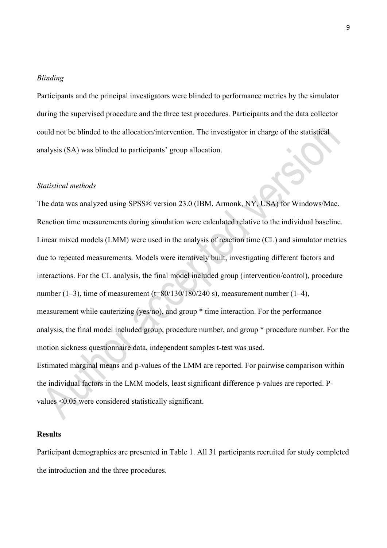#### *Blinding*

Participants and the principal investigators were blinded to performance metrics by the simulator during the supervised procedure and the three test procedures. Participants and the data collector could not be blinded to the allocation/intervention. The investigator in charge of the statistical analysis (SA) was blinded to participants' group allocation.

### *Statistical methods*

The data was analyzed using SPSS® version 23.0 (IBM, Armonk, NY, USA) for Windows/Mac. Reaction time measurements during simulation were calculated relative to the individual baseline. Linear mixed models (LMM) were used in the analysis of reaction time (CL) and simulator metrics due to repeated measurements. Models were iteratively built, investigating different factors and interactions. For the CL analysis, the final model included group (intervention/control), procedure number (1–3), time of measurement (t=80/130/180/240 s), measurement number (1–4), measurement while cauterizing (yes/no), and group \* time interaction. For the performance analysis, the final model included group, procedure number, and group \* procedure number. For the motion sickness questionnaire data, independent samples t-test was used. Estimated marginal means and p-values of the LMM are reported. For pairwise comparison within the individual factors in the LMM models, least significant difference p-values are reported. Pvalues <0.05 were considered statistically significant.

### **Results**

Participant demographics are presented in Table 1. All 31 participants recruited for study completed the introduction and the three procedures.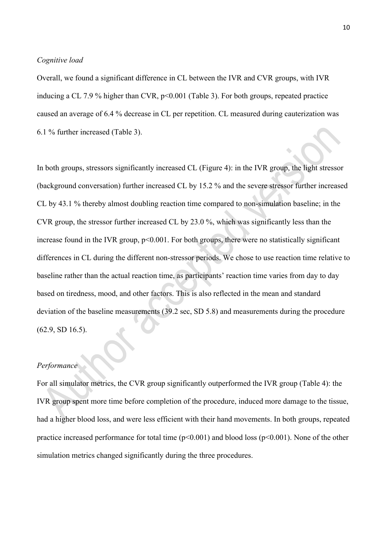### *Cognitive load*

Overall, we found a significant difference in CL between the IVR and CVR groups, with IVR inducing a CL 7.9 % higher than CVR, p<0.001 (Table 3). For both groups, repeated practice caused an average of 6.4 % decrease in CL per repetition. CL measured during cauterization was 6.1 % further increased (Table 3).

In both groups, stressors significantly increased CL (Figure 4): in the IVR group, the light stressor (background conversation) further increased CL by 15.2 % and the severe stressor further increased CL by 43.1 % thereby almost doubling reaction time compared to non-simulation baseline; in the CVR group, the stressor further increased CL by 23.0 %, which was significantly less than the increase found in the IVR group,  $p<0.001$ . For both groups, there were no statistically significant differences in CL during the different non-stressor periods. We chose to use reaction time relative to baseline rather than the actual reaction time, as participants' reaction time varies from day to day based on tiredness, mood, and other factors. This is also reflected in the mean and standard deviation of the baseline measurements (39.2 sec, SD 5.8) and measurements during the procedure (62.9, SD 16.5).

## *Performance*

For all simulator metrics, the CVR group significantly outperformed the IVR group (Table 4): the IVR group spent more time before completion of the procedure, induced more damage to the tissue, had a higher blood loss, and were less efficient with their hand movements. In both groups, repeated practice increased performance for total time  $(p<0.001)$  and blood loss  $(p<0.001)$ . None of the other simulation metrics changed significantly during the three procedures.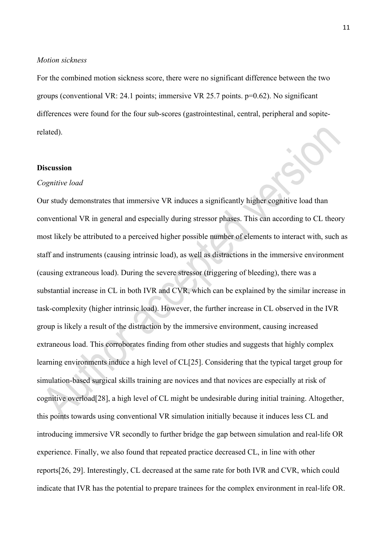### *Motion sickness*

For the combined motion sickness score, there were no significant difference between the two groups (conventional VR: 24.1 points; immersive VR 25.7 points. p=0.62). No significant differences were found for the four sub-scores (gastrointestinal, central, peripheral and sopiterelated).

## **Discussion**

#### *Cognitive load*

Our study demonstrates that immersive VR induces a significantly higher cognitive load than conventional VR in general and especially during stressor phases. This can according to CL theory most likely be attributed to a perceived higher possible number of elements to interact with, such as staff and instruments (causing intrinsic load), as well as distractions in the immersive environment (causing extraneous load). During the severe stressor (triggering of bleeding), there was a substantial increase in CL in both IVR and CVR, which can be explained by the similar increase in task-complexity (higher intrinsic load). However, the further increase in CL observed in the IVR group is likely a result of the distraction by the immersive environment, causing increased extraneous load. This corroborates finding from other studies and suggests that highly complex learning environments induce a high level of CL[25]. Considering that the typical target group for simulation-based surgical skills training are novices and that novices are especially at risk of cognitive overload[28], a high level of CL might be undesirable during initial training. Altogether, this points towards using conventional VR simulation initially because it induces less CL and introducing immersive VR secondly to further bridge the gap between simulation and real-life OR experience. Finally, we also found that repeated practice decreased CL, in line with other reports[26, 29]. Interestingly, CL decreased at the same rate for both IVR and CVR, which could indicate that IVR has the potential to prepare trainees for the complex environment in real-life OR.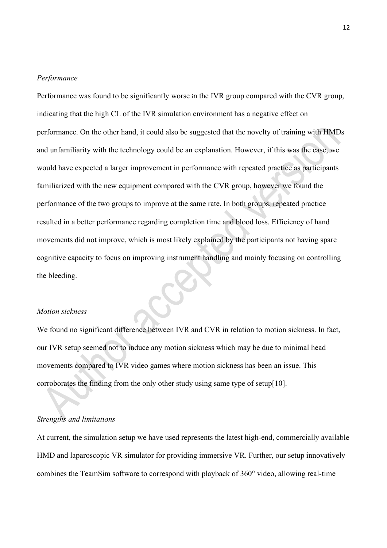#### *Performance*

Performance was found to be significantly worse in the IVR group compared with the CVR group, indicating that the high CL of the IVR simulation environment has a negative effect on performance. On the other hand, it could also be suggested that the novelty of training with HMDs and unfamiliarity with the technology could be an explanation. However, if this was the case, we would have expected a larger improvement in performance with repeated practice as participants familiarized with the new equipment compared with the CVR group, however we found the performance of the two groups to improve at the same rate. In both groups, repeated practice resulted in a better performance regarding completion time and blood loss. Efficiency of hand movements did not improve, which is most likely explained by the participants not having spare cognitive capacity to focus on improving instrument handling and mainly focusing on controlling the bleeding.

## *Motion sickness*

We found no significant difference between IVR and CVR in relation to motion sickness. In fact, our IVR setup seemed not to induce any motion sickness which may be due to minimal head movements compared to IVR video games where motion sickness has been an issue. This corroborates the finding from the only other study using same type of setup[10].

### *Strengths and limitations*

At current, the simulation setup we have used represents the latest high-end, commercially available HMD and laparoscopic VR simulator for providing immersive VR. Further, our setup innovatively combines the TeamSim software to correspond with playback of 360° video, allowing real-time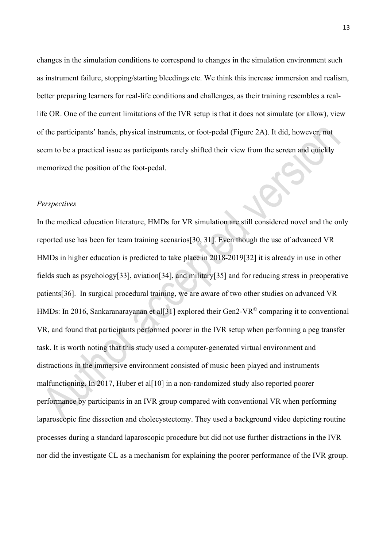changes in the simulation conditions to correspond to changes in the simulation environment such as instrument failure, stopping/starting bleedings etc. We think this increase immersion and realism, better preparing learners for real-life conditions and challenges, as their training resembles a reallife OR. One of the current limitations of the IVR setup is that it does not simulate (or allow), view of the participants' hands, physical instruments, or foot-pedal (Figure 2A). It did, however, not seem to be a practical issue as participants rarely shifted their view from the screen and quickly memorized the position of the foot-pedal.

### *Perspectives*

In the medical education literature, HMDs for VR simulation are still considered novel and the only reported use has been for team training scenarios[30, 31]. Even though the use of advanced VR HMDs in higher education is predicted to take place in 2018-2019[32] it is already in use in other fields such as psychology[33], aviation[34], and military[35] and for reducing stress in preoperative patients[36]. In surgical procedural training, we are aware of two other studies on advanced VR HMDs: In 2016, Sankaranarayanan et all 31 explored their Gen2-VR<sup>©</sup> comparing it to conventional VR, and found that participants performed poorer in the IVR setup when performing a peg transfer task. It is worth noting that this study used a computer-generated virtual environment and distractions in the immersive environment consisted of music been played and instruments malfunctioning. In 2017, Huber et al<sup>[10]</sup> in a non-randomized study also reported poorer performance by participants in an IVR group compared with conventional VR when performing laparoscopic fine dissection and cholecystectomy. They used a background video depicting routine processes during a standard laparoscopic procedure but did not use further distractions in the IVR nor did the investigate CL as a mechanism for explaining the poorer performance of the IVR group.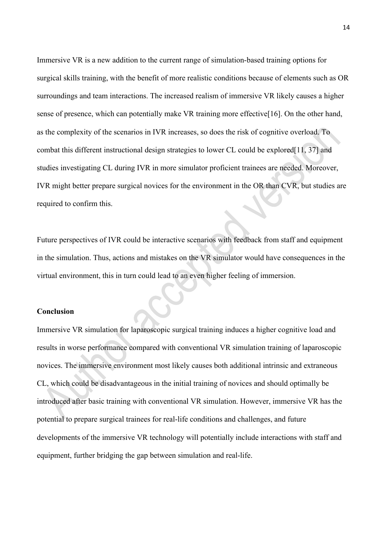Immersive VR is a new addition to the current range of simulation-based training options for surgical skills training, with the benefit of more realistic conditions because of elements such as OR surroundings and team interactions. The increased realism of immersive VR likely causes a higher sense of presence, which can potentially make VR training more effective[16]. On the other hand, as the complexity of the scenarios in IVR increases, so does the risk of cognitive overload. To combat this different instructional design strategies to lower CL could be explored[11, 37] and studies investigating CL during IVR in more simulator proficient trainees are needed. Moreover, IVR might better prepare surgical novices for the environment in the OR than CVR, but studies are required to confirm this.

Future perspectives of IVR could be interactive scenarios with feedback from staff and equipment in the simulation. Thus, actions and mistakes on the VR simulator would have consequences in the virtual environment, this in turn could lead to an even higher feeling of immersion.

### **Conclusion**

Immersive VR simulation for laparoscopic surgical training induces a higher cognitive load and results in worse performance compared with conventional VR simulation training of laparoscopic novices. The immersive environment most likely causes both additional intrinsic and extraneous CL, which could be disadvantageous in the initial training of novices and should optimally be introduced after basic training with conventional VR simulation. However, immersive VR has the potential to prepare surgical trainees for real-life conditions and challenges, and future developments of the immersive VR technology will potentially include interactions with staff and equipment, further bridging the gap between simulation and real-life.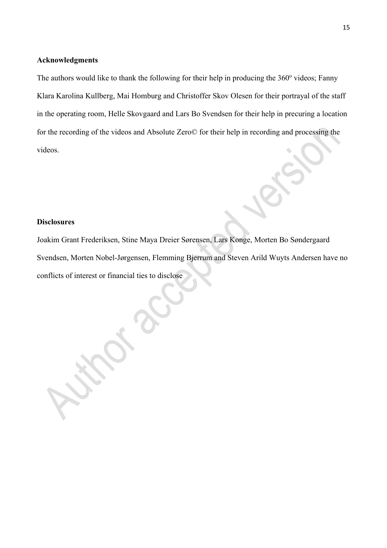### **Acknowledgments**

The authors would like to thank the following for their help in producing the  $360^{\circ}$  videos; Fanny Klara Karolina Kullberg, Mai Homburg and Christoffer Skov Olesen for their portrayal of the staff in the operating room, Helle Skovgaard and Lars Bo Svendsen for their help in precuring a location for the recording of the videos and Absolute Zero© for their help in recording and processing the videos.

## **Disclosures**

Joakim Grant Frederiksen, Stine Maya Dreier Sørensen, Lars Konge, Morten Bo Søndergaard Svendsen, Morten Nobel-Jørgensen, Flemming Bjerrum and Steven Arild Wuyts Andersen have no conflicts of interest or financial ties to disclose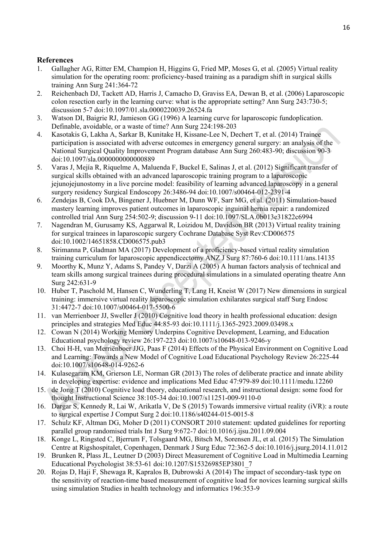## **References**

- 1. Gallagher AG, Ritter EM, Champion H, Higgins G, Fried MP, Moses G, et al. (2005) Virtual reality simulation for the operating room: proficiency-based training as a paradigm shift in surgical skills training Ann Surg 241:364-72
- 2. Reichenbach DJ, Tackett AD, Harris J, Camacho D, Graviss EA, Dewan B, et al. (2006) Laparoscopic colon resection early in the learning curve: what is the appropriate setting? Ann Surg 243:730-5; discussion 5-7 doi:10.1097/01.sla.0000220039.26524.fa
- 3. Watson DI, Baigrie RJ, Jamieson GG (1996) A learning curve for laparoscopic fundoplication. Definable, avoidable, or a waste of time? Ann Surg 224:198-203
- 4. Kasotakis G, Lakha A, Sarkar B, Kunitake H, Kissane-Lee N, Dechert T, et al. (2014) Trainee participation is associated with adverse outcomes in emergency general surgery: an analysis of the National Surgical Quality Improvement Program database Ann Surg 260:483-90; discussion 90-3 doi:10.1097/sla.0000000000000889
- 5. Varas J, Mejía R, Riquelme A, Maluenda F, Buckel E, Salinas J, et al. (2012) Significant transfer of surgical skills obtained with an advanced laparoscopic training program to a laparoscopic jejunojejunostomy in a live porcine model: feasibility of learning advanced laparoscopy in a general surgery residency Surgical Endoscopy 26:3486-94 doi:10.1007/s00464-012-2391-4
- 6. Zendejas B, Cook DA, Bingener J, Huebner M, Dunn WF, Sarr MG, et al. (2011) Simulation-based mastery learning improves patient outcomes in laparoscopic inguinal hernia repair: a randomized controlled trial Ann Surg 254:502-9; discussion 9-11 doi:10.1097/SLA.0b013e31822c6994
- 7. Nagendran M, Gurusamy KS, Aggarwal R, Loizidou M, Davidson BR (2013) Virtual reality training for surgical trainees in laparoscopic surgery Cochrane Database Syst Rev:CD006575 doi:10.1002/14651858.CD006575.pub3
- 8. Sirimanna P, Gladman MA (2017) Development of a proficiency-based virtual reality simulation training curriculum for laparoscopic appendicectomy ANZ J Surg 87:760-6 doi:10.1111/ans.14135
- 9. Moorthy K, Munz Y, Adams S, Pandey V, Darzi A (2005) A human factors analysis of technical and team skills among surgical trainees during procedural simulations in a simulated operating theatre Ann Surg 242:631-9
- 10. Huber T, Paschold M, Hansen C, Wunderling T, Lang H, Kneist W (2017) New dimensions in surgical training: immersive virtual reality laparoscopic simulation exhilarates surgical staff Surg Endosc 31:4472-7 doi:10.1007/s00464-017-5500-6
- 11. van Merrienboer JJ, Sweller J (2010) Cognitive load theory in health professional education: design principles and strategies Med Educ 44:85-93 doi:10.1111/j.1365-2923.2009.03498.x
- 12. Cowan N (2014) Working Memory Underpins Cognitive Development, Learning, and Education Educational psychology review 26:197-223 doi:10.1007/s10648-013-9246-y
- 13. Choi H-H, van Merriënboer JJG, Paas F (2014) Effects of the Physical Environment on Cognitive Load and Learning: Towards a New Model of Cognitive Load Educational Psychology Review 26:225-44 doi:10.1007/s10648-014-9262-6
- 14. Kulasegaram KM, Grierson LE, Norman GR (2013) The roles of deliberate practice and innate ability in developing expertise: evidence and implications Med Educ 47:979-89 doi:10.1111/medu.12260
- 15. de Jong T (2010) Cognitive load theory, educational research, and instructional design: some food for thought Instructional Science 38:105-34 doi:10.1007/s11251-009-9110-0
- 16. Dargar S, Kennedy R, Lai W, Arikatla V, De S (2015) Towards immersive virtual reality (iVR): a route to surgical expertise J Comput Surg 2 doi:10.1186/s40244-015-0015-8
- 17. Schulz KF, Altman DG, Moher D (2011) CONSORT 2010 statement: updated guidelines for reporting parallel group randomised trials Int J Surg 9:672-7 doi:10.1016/j.ijsu.2011.09.004
- 18. Konge L, Ringsted C, Bjerrum F, Tolsgaard MG, Bitsch M, Sorensen JL, et al. (2015) The Simulation Centre at Rigshospitalet, Copenhagen, Denmark J Surg Educ 72:362-5 doi:10.1016/j.jsurg.2014.11.012
- 19. Brunken R, Plass JL, Leutner D (2003) Direct Measurement of Cognitive Load in Multimedia Learning Educational Psychologist 38:53-61 doi:10.1207/S15326985EP3801\_7
- 20. Rojas D, Haji F, Shewaga R, Kapralos B, Dubrowski A (2014) The impact of secondary-task type on the sensitivity of reaction-time based measurement of cognitive load for novices learning surgical skills using simulation Studies in health technology and informatics 196:353-9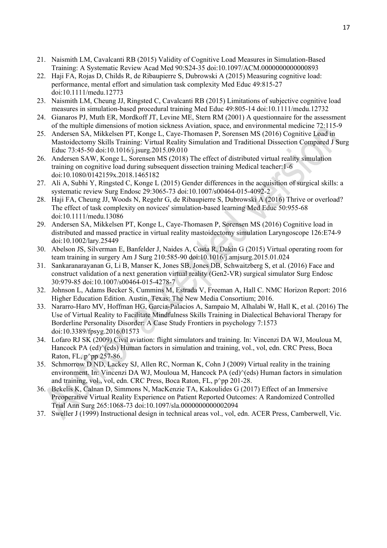- 21. Naismith LM, Cavalcanti RB (2015) Validity of Cognitive Load Measures in Simulation-Based Training: A Systematic Review Acad Med 90:S24-35 doi:10.1097/ACM.0000000000000893
- 22. Haji FA, Rojas D, Childs R, de Ribaupierre S, Dubrowski A (2015) Measuring cognitive load: performance, mental effort and simulation task complexity Med Educ 49:815-27 doi:10.1111/medu.12773
- 23. Naismith LM, Cheung JJ, Ringsted C, Cavalcanti RB (2015) Limitations of subjective cognitive load measures in simulation-based procedural training Med Educ 49:805-14 doi:10.1111/medu.12732
- 24. Gianaros PJ, Muth ER, Mordkoff JT, Levine ME, Stern RM (2001) A questionnaire for the assessment of the multiple dimensions of motion sickness Aviation, space, and environmental medicine 72:115-9
- 25. Andersen SA, Mikkelsen PT, Konge L, Caye-Thomasen P, Sorensen MS (2016) Cognitive Load in Mastoidectomy Skills Training: Virtual Reality Simulation and Traditional Dissection Compared J Surg Educ 73:45-50 doi:10.1016/j.jsurg.2015.09.010
- 26. Andersen SAW, Konge L, Sorensen MS (2018) The effect of distributed virtual reality simulation training on cognitive load during subsequent dissection training Medical teacher:1-6 doi:10.1080/0142159x.2018.1465182
- 27. Ali A, Subhi Y, Ringsted C, Konge L (2015) Gender differences in the acquisition of surgical skills: a systematic review Surg Endosc 29:3065-73 doi:10.1007/s00464-015-4092-2
- 28. Haji FA, Cheung JJ, Woods N, Regehr G, de Ribaupierre S, Dubrowski A (2016) Thrive or overload? The effect of task complexity on novices' simulation-based learning Med Educ 50:955-68 doi:10.1111/medu.13086
- 29. Andersen SA, Mikkelsen PT, Konge L, Caye-Thomasen P, Sorensen MS (2016) Cognitive load in distributed and massed practice in virtual reality mastoidectomy simulation Laryngoscope 126:E74-9 doi:10.1002/lary.25449
- 30. Abelson JS, Silverman E, Banfelder J, Naides A, Costa R, Dakin G (2015) Virtual operating room for team training in surgery Am J Surg 210:585-90 doi:10.1016/j.amjsurg.2015.01.024
- 31. Sankaranarayanan G, Li B, Manser K, Jones SB, Jones DB, Schwaitzberg S, et al. (2016) Face and construct validation of a next generation virtual reality (Gen2-VR) surgical simulator Surg Endosc 30:979-85 doi:10.1007/s00464-015-4278-7
- 32. Johnson L, Adams Becker S, Cummins M, Estrada V, Freeman A, Hall C. NMC Horizon Report: 2016 Higher Education Edition. Austin, Texas: The New Media Consortium; 2016.
- 33. Nararro-Haro MV, Hoffman HG, Garcia-Palacios A, Sampaio M, Alhalabi W, Hall K, et al. (2016) The Use of Virtual Reality to Facilitate Mindfulness Skills Training in Dialectical Behavioral Therapy for Borderline Personality Disorder: A Case Study Frontiers in psychology 7:1573 doi:10.3389/fpsyg.2016.01573
- 34. Lofaro RJ SK (2009) Civil aviation: flight simulators and training. In: Vincenzi DA WJ, Mouloua M, Hancock PA (ed) $\degree$ (eds) Human factors in simulation and training, vol., vol, edn. CRC Press, Boca Raton, FL,  $p^{\wedge}$ pp 257-86.
- 35. Schmorrow D ND, Lackey SJ, Allen RC, Norman K, Cohn J (2009) Virtual reality in the training environment. In: Vincenzi DA WJ, Mouloua M, Hancock PA (ed) $\degree$ (eds) Human factors in simulation and training, vol., vol., edn. CRC Press, Boca Raton, FL, p^pp 201-28.
- 36. Bekelis K, Calnan D, Simmons N, MacKenzie TA, Kakoulides G (2017) Effect of an Immersive Preoperative Virtual Reality Experience on Patient Reported Outcomes: A Randomized Controlled Trial Ann Surg 265:1068-73 doi:10.1097/sla.0000000000002094
- 37. Sweller J (1999) Instructional design in technical areas vol., vol, edn. ACER Press, Camberwell, Vic.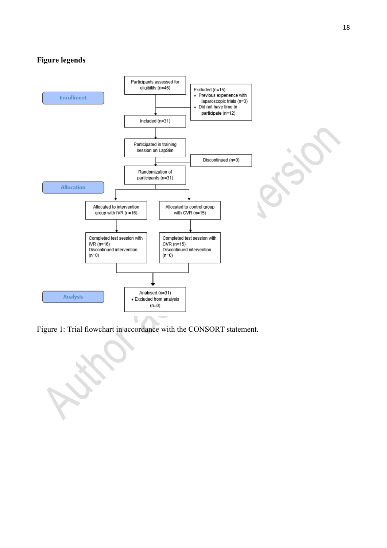# **Figure legends**



Figure 1: Trial flowchart in accordance with the CONSORT statement.

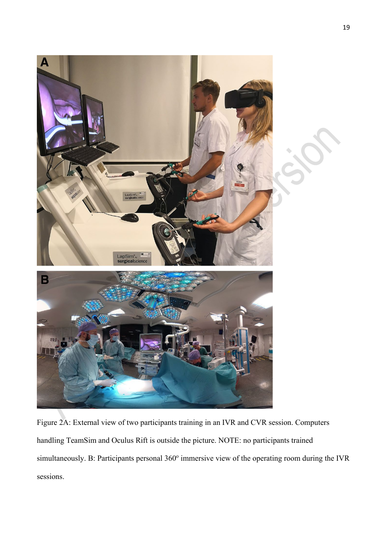

Figure 2A: External view of two participants training in an IVR and CVR session. Computers handling TeamSim and Oculus Rift is outside the picture. NOTE: no participants trained simultaneously. B: Participants personal 360° immersive view of the operating room during the IVR sessions.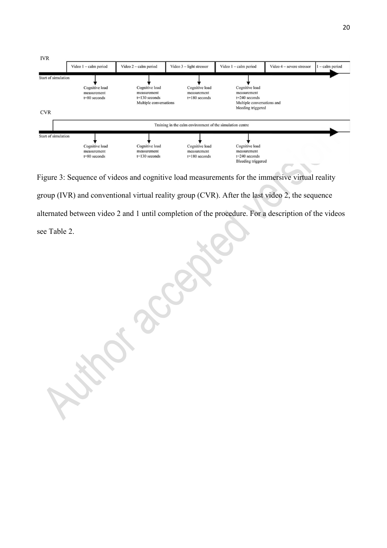

Figure 3: Sequence of videos and cognitive load measurements for the immersive virtual reality group (IVR) and conventional virtual reality group (CVR). After the last video 2, the sequence alternated between video 2 and 1 until completion of the procedure. For a description of the videos see Table 2.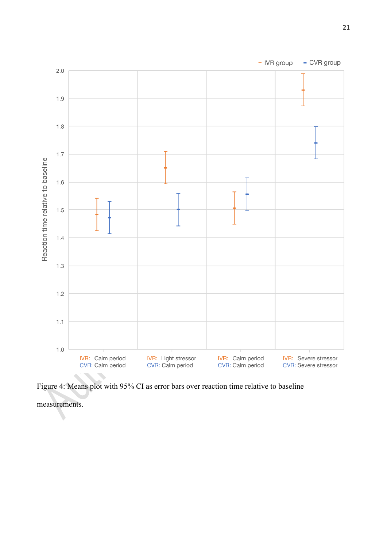

Figure 4: Means plot with 95% CI as error bars over reaction time relative to baseline

measurements.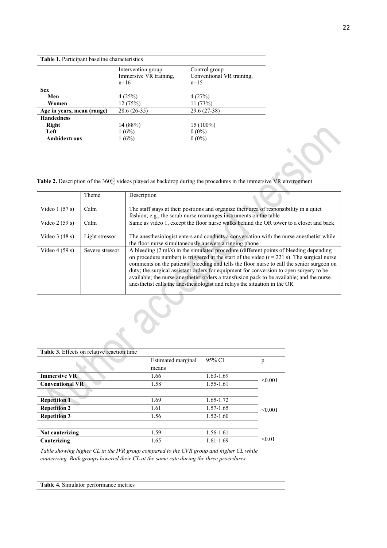#### **Table 1.** Participant baseline characteristics

|                            | Intervention group     | Control group             |
|----------------------------|------------------------|---------------------------|
|                            | Immersive VR training, | Conventional VR training, |
|                            | $n=16$                 | $n=15$                    |
| <b>Sex</b>                 |                        |                           |
| Men                        | 4(25%)                 | 4(27%)                    |
| Women                      | 12 (75%)               | 11(73%)                   |
| Age in years, mean (range) | $28.6(26-35)$          | 29.6 (27-38)              |
| <b>Handedness</b>          |                        |                           |
| Right                      | 14 (88%)               | $15(100\%)$               |
| Left                       | 1(6%)                  | $0(0\%)$                  |
| Ambidextrous               | 1(6%)                  | $0(0\%)$                  |

Table 2. Description of the 360▒ videos played as backdrop during the procedures in the immersive VR environment

|                 | Theme           | Description                                                                                                                                                                                                                                                                                                                                                                                                                                                                                                                                                        |
|-----------------|-----------------|--------------------------------------------------------------------------------------------------------------------------------------------------------------------------------------------------------------------------------------------------------------------------------------------------------------------------------------------------------------------------------------------------------------------------------------------------------------------------------------------------------------------------------------------------------------------|
| Video $1(57 s)$ | Calm            | The staff stays at their positions and organize their area of responsibility in a quiet<br>fashion; e.g., the scrub nurse rearranges instruments on the table                                                                                                                                                                                                                                                                                                                                                                                                      |
| Video $2(59 s)$ | Calm            | Same as video 1, except the floor nurse walks behind the OR tower to a closet and back                                                                                                                                                                                                                                                                                                                                                                                                                                                                             |
| Video $3(48 s)$ | Light stressor  | The anesthesiologist enters and conducts a conversation with the nurse anesthetist while<br>the floor nurse simultaneously answers a ringing phone                                                                                                                                                                                                                                                                                                                                                                                                                 |
| Video $4(59 s)$ | Severe stressor | A bleeding (2 ml/s) in the simulated procedure (different points of bleeding depending<br>on procedure number) is triggered at the start of the video $(t = 221 \text{ s})$ . The surgical nurse<br>comments on the patients' bleeding and tells the floor nurse to call the senior surgeon on<br>duty; the surgical assistant orders for equipment for conversion to open surgery to be<br>available; the nurse anesthetist orders a transfusion pack to be available; and the nurse<br>anesthetist calls the anesthesiologist and relays the situation in the OR |

| <b>Table 3.</b> Effects on relative reaction time                                      |                    |               |         |  |
|----------------------------------------------------------------------------------------|--------------------|---------------|---------|--|
|                                                                                        | Estimated marginal | 95% CI        | p       |  |
|                                                                                        | means              |               |         |  |
| <b>Immersive VR</b>                                                                    | 1.66               | $1.63 - 1.69$ | < 0.001 |  |
| <b>Conventional VR</b>                                                                 | 1.58               | 1.55-1.61     |         |  |
|                                                                                        |                    |               |         |  |
| <b>Repetition 1</b>                                                                    | 1.69               | 1.65-1.72     |         |  |
| <b>Repetition 2</b>                                                                    | 1.61               | 1.57-1.65     | < 0.001 |  |
| <b>Repetition 3</b>                                                                    | 1.56               | $1.52 - 1.60$ |         |  |
|                                                                                        |                    |               |         |  |
| Not cauterizing                                                                        | 1.59               | 1.56-1.61     |         |  |
| Cauterizing                                                                            | 1.65               | $1.61 - 1.69$ | < 0.01  |  |
| Table showing higher CL in the IVR group compared to the CVR group and higher CL while |                    |               |         |  |

*cauterizing. Both groups lowered their CL at the same rate during the three procedures.*